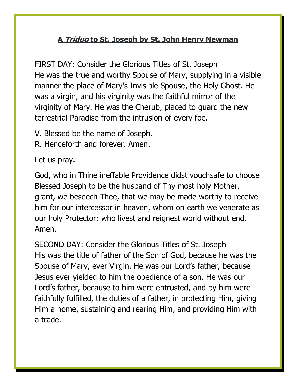## **A Triduo to St. Joseph by St. John Henry Newman**

FIRST DAY: Consider the Glorious Titles of St. Joseph He was the true and worthy Spouse of Mary, supplying in a visible manner the place of Mary's Invisible Spouse, the Holy Ghost. He was a virgin, and his virginity was the faithful mirror of the virginity of Mary. He was the Cherub, placed to guard the new terrestrial Paradise from the intrusion of every foe.

- V. Blessed be the name of Joseph.
- R. Henceforth and forever. Amen.

Let us pray.

God, who in Thine ineffable Providence didst vouchsafe to choose Blessed Joseph to be the husband of Thy most holy Mother, grant, we beseech Thee, that we may be made worthy to receive him for our intercessor in heaven, whom on earth we venerate as our holy Protector: who livest and reignest world without end. Amen.

SECOND DAY: Consider the Glorious Titles of St. Joseph His was the title of father of the Son of God, because he was the Spouse of Mary, ever Virgin. He was our Lord's father, because Jesus ever yielded to him the obedience of a son. He was our Lord's father, because to him were entrusted, and by him were faithfully fulfilled, the duties of a father, in protecting Him, giving Him a home, sustaining and rearing Him, and providing Him with a trade.